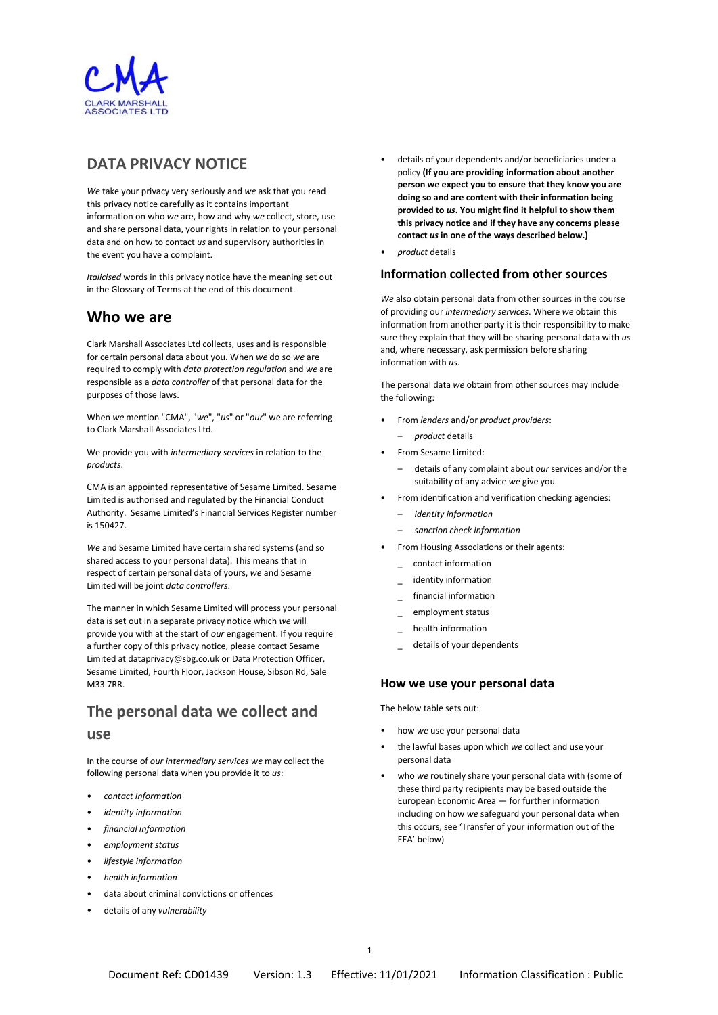

## DATA PRIVACY NOTICE

We take your privacy very seriously and we ask that you read this privacy notice carefully as it contains important information on who we are, how and why we collect, store, use and share personal data, your rights in relation to your personal data and on how to contact us and supervisory authorities in the event you have a complaint.

Italicised words in this privacy notice have the meaning set out in the Glossary of Terms at the end of this document.

## Who we are

Clark Marshall Associates Ltd collects, uses and is responsible for certain personal data about you. When we do so we are required to comply with data protection regulation and we are responsible as a data controller of that personal data for the purposes of those laws.

When we mention "CMA", "we", "us" or "our" we are referring to Clark Marshall Associates Ltd.

We provide you with intermediary services in relation to the products.

CMA is an appointed representative of Sesame Limited. Sesame Limited is authorised and regulated by the Financial Conduct Authority. Sesame Limited's Financial Services Register number is 150427.

We and Sesame Limited have certain shared systems (and so shared access to your personal data). This means that in respect of certain personal data of yours, we and Sesame Limited will be joint data controllers.

The manner in which Sesame Limited will process your personal data is set out in a separate privacy notice which we will provide you with at the start of our engagement. If you require a further copy of this privacy notice, please contact Sesame Limited at dataprivacy@sbg.co.uk or Data Protection Officer, Sesame Limited, Fourth Floor, Jackson House, Sibson Rd, Sale M33 7RR.

# The personal data we collect and use

In the course of our intermediary services we may collect the following personal data when you provide it to us:

- contact information
- identity information
- financial information
- employment status
- lifestyle information
- health information
- data about criminal convictions or offences
- details of any vulnerability
- details of your dependents and/or beneficiaries under a policy (If you are providing information about another person we expect you to ensure that they know you are doing so and are content with their information being provided to us. You might find it helpful to show them this privacy notice and if they have any concerns please contact us in one of the ways described below.)
- product details

### Information collected from other sources

We also obtain personal data from other sources in the course of providing our intermediary services. Where we obtain this information from another party it is their responsibility to make sure they explain that they will be sharing personal data with us and, where necessary, ask permission before sharing information with us.

The personal data we obtain from other sources may include the following:

- From lenders and/or product providers:
	- product details
- From Sesame Limited:
	- details of any complaint about our services and/or the suitability of any advice we give you
- From identification and verification checking agencies:
	- identity information
	- sanction check information
- From Housing Associations or their agents:
	- \_ contact information
	- identity information
	- financial information
	- \_ employment status
	- \_ health information
	- details of your dependents

## How we use your personal data

The below table sets out:

- how we use your personal data
- the lawful bases upon which we collect and use your personal data
- who we routinely share your personal data with (some of these third party recipients may be based outside the European Economic Area — for further information including on how we safeguard your personal data when this occurs, see 'Transfer of your information out of the EEA' below)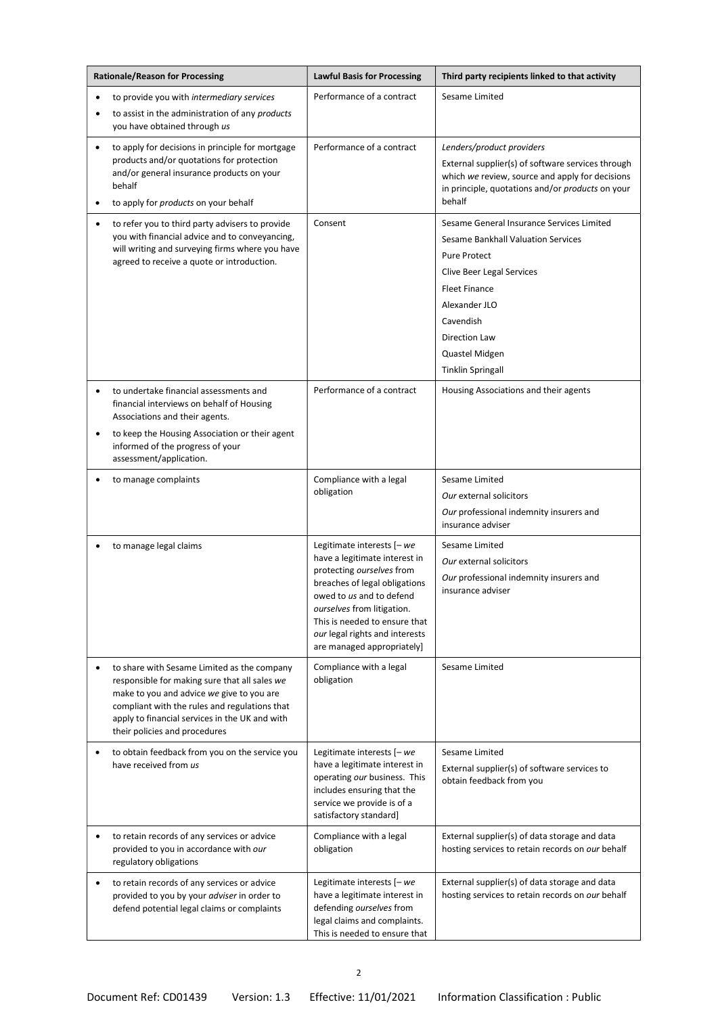| <b>Rationale/Reason for Processing</b>                                                                                                                                                                                                                                                     | <b>Lawful Basis for Processing</b>                                                                                                                                                                                                                                                   | Third party recipients linked to that activity                                                                                                                                                                                                           |
|--------------------------------------------------------------------------------------------------------------------------------------------------------------------------------------------------------------------------------------------------------------------------------------------|--------------------------------------------------------------------------------------------------------------------------------------------------------------------------------------------------------------------------------------------------------------------------------------|----------------------------------------------------------------------------------------------------------------------------------------------------------------------------------------------------------------------------------------------------------|
| to provide you with intermediary services<br>$\bullet$                                                                                                                                                                                                                                     | Performance of a contract                                                                                                                                                                                                                                                            | Sesame Limited                                                                                                                                                                                                                                           |
| to assist in the administration of any products<br>$\bullet$<br>you have obtained through us                                                                                                                                                                                               |                                                                                                                                                                                                                                                                                      |                                                                                                                                                                                                                                                          |
| to apply for decisions in principle for mortgage<br>$\bullet$<br>products and/or quotations for protection<br>and/or general insurance products on your<br>behalf<br>to apply for products on your behalf                                                                                  | Performance of a contract                                                                                                                                                                                                                                                            | Lenders/product providers<br>External supplier(s) of software services through<br>which we review, source and apply for decisions<br>in principle, quotations and/or products on your<br>behalf                                                          |
| to refer you to third party advisers to provide<br>$\bullet$<br>you with financial advice and to conveyancing,<br>will writing and surveying firms where you have<br>agreed to receive a quote or introduction.                                                                            | Consent                                                                                                                                                                                                                                                                              | Sesame General Insurance Services Limited<br>Sesame Bankhall Valuation Services<br><b>Pure Protect</b><br>Clive Beer Legal Services<br><b>Fleet Finance</b><br>Alexander JLO<br>Cavendish<br>Direction Law<br>Quastel Midgen<br><b>Tinklin Springall</b> |
| to undertake financial assessments and<br>$\bullet$<br>financial interviews on behalf of Housing<br>Associations and their agents.<br>to keep the Housing Association or their agent<br>$\bullet$<br>informed of the progress of your<br>assessment/application.                           | Performance of a contract                                                                                                                                                                                                                                                            | Housing Associations and their agents                                                                                                                                                                                                                    |
| to manage complaints                                                                                                                                                                                                                                                                       | Compliance with a legal<br>obligation                                                                                                                                                                                                                                                | Sesame Limited<br>Our external solicitors<br>Our professional indemnity insurers and<br>insurance adviser                                                                                                                                                |
| to manage legal claims                                                                                                                                                                                                                                                                     | Legitimate interests [- we<br>have a legitimate interest in<br>protecting ourselves from<br>breaches of legal obligations<br>owed to us and to defend<br>ourselves from litigation.<br>This is needed to ensure that<br>our legal rights and interests<br>are managed appropriately] | Sesame Limited<br>Our external solicitors<br>Our professional indemnity insurers and<br>insurance adviser                                                                                                                                                |
| to share with Sesame Limited as the company<br>$\bullet$<br>responsible for making sure that all sales we<br>make to you and advice we give to you are<br>compliant with the rules and regulations that<br>apply to financial services in the UK and with<br>their policies and procedures | Compliance with a legal<br>obligation                                                                                                                                                                                                                                                | Sesame Limited                                                                                                                                                                                                                                           |
| to obtain feedback from you on the service you<br>٠<br>have received from us                                                                                                                                                                                                               | Legitimate interests [- we<br>have a legitimate interest in<br>operating our business. This<br>includes ensuring that the<br>service we provide is of a<br>satisfactory standard]                                                                                                    | Sesame Limited<br>External supplier(s) of software services to<br>obtain feedback from you                                                                                                                                                               |
| to retain records of any services or advice<br>provided to you in accordance with our<br>regulatory obligations                                                                                                                                                                            | Compliance with a legal<br>obligation                                                                                                                                                                                                                                                | External supplier(s) of data storage and data<br>hosting services to retain records on our behalf                                                                                                                                                        |
| to retain records of any services or advice<br>$\bullet$<br>provided to you by your adviser in order to<br>defend potential legal claims or complaints                                                                                                                                     | Legitimate interests [- we<br>have a legitimate interest in<br>defending ourselves from<br>legal claims and complaints.<br>This is needed to ensure that                                                                                                                             | External supplier(s) of data storage and data<br>hosting services to retain records on our behalf                                                                                                                                                        |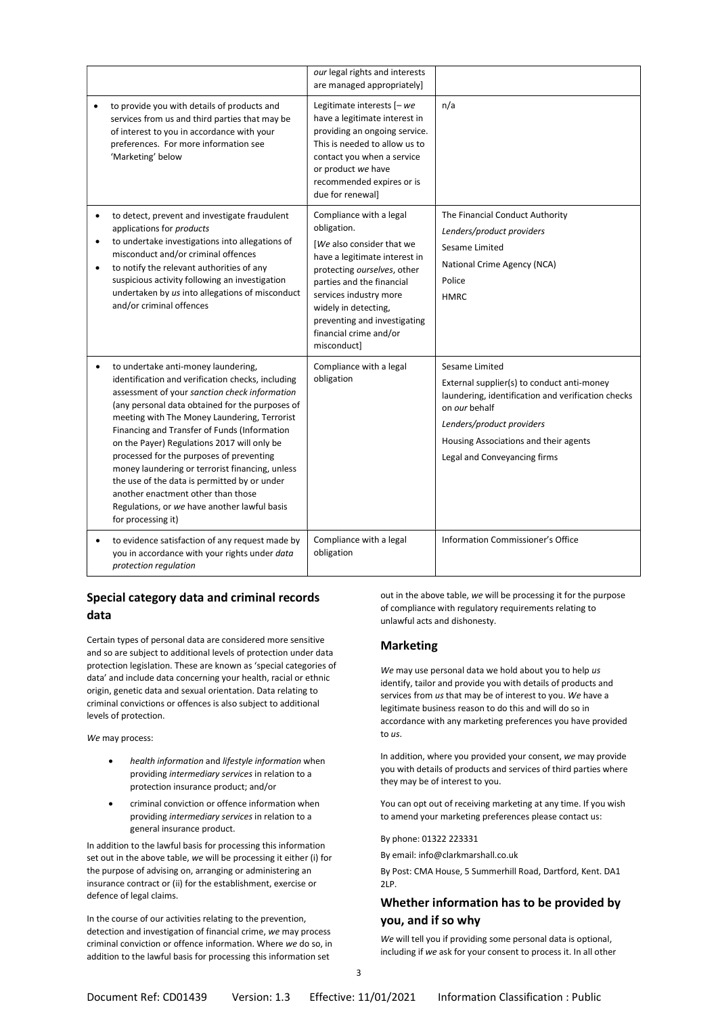|                                                                                                                                                                                                                                                                                                                                                                                                                                                                                                                                                                                                        | our legal rights and interests<br>are managed appropriately]                                                                                                                                                                                                                                |                                                                                                                                                                                                                                           |
|--------------------------------------------------------------------------------------------------------------------------------------------------------------------------------------------------------------------------------------------------------------------------------------------------------------------------------------------------------------------------------------------------------------------------------------------------------------------------------------------------------------------------------------------------------------------------------------------------------|---------------------------------------------------------------------------------------------------------------------------------------------------------------------------------------------------------------------------------------------------------------------------------------------|-------------------------------------------------------------------------------------------------------------------------------------------------------------------------------------------------------------------------------------------|
| to provide you with details of products and<br>$\bullet$<br>services from us and third parties that may be<br>of interest to you in accordance with your<br>preferences. For more information see<br>'Marketing' below                                                                                                                                                                                                                                                                                                                                                                                 | Legitimate interests [- we<br>have a legitimate interest in<br>providing an ongoing service.<br>This is needed to allow us to<br>contact you when a service<br>or product we have<br>recommended expires or is<br>due for renewall                                                          | n/a                                                                                                                                                                                                                                       |
| to detect, prevent and investigate fraudulent<br>$\bullet$<br>applications for products<br>to undertake investigations into allegations of<br>$\bullet$<br>misconduct and/or criminal offences<br>to notify the relevant authorities of any<br>$\bullet$<br>suspicious activity following an investigation<br>undertaken by us into allegations of misconduct<br>and/or criminal offences                                                                                                                                                                                                              | Compliance with a legal<br>obligation.<br>[We also consider that we<br>have a legitimate interest in<br>protecting ourselves, other<br>parties and the financial<br>services industry more<br>widely in detecting,<br>preventing and investigating<br>financial crime and/or<br>misconduct] | The Financial Conduct Authority<br>Lenders/product providers<br>Sesame Limited<br>National Crime Agency (NCA)<br>Police<br><b>HMRC</b>                                                                                                    |
| to undertake anti-money laundering,<br>identification and verification checks, including<br>assessment of your sanction check information<br>(any personal data obtained for the purposes of<br>meeting with The Money Laundering, Terrorist<br>Financing and Transfer of Funds (Information<br>on the Payer) Regulations 2017 will only be<br>processed for the purposes of preventing<br>money laundering or terrorist financing, unless<br>the use of the data is permitted by or under<br>another enactment other than those<br>Regulations, or we have another lawful basis<br>for processing it) | Compliance with a legal<br>obligation                                                                                                                                                                                                                                                       | Sesame Limited<br>External supplier(s) to conduct anti-money<br>laundering, identification and verification checks<br>on our behalf<br>Lenders/product providers<br>Housing Associations and their agents<br>Legal and Conveyancing firms |
| to evidence satisfaction of any request made by<br>you in accordance with your rights under data<br>protection regulation                                                                                                                                                                                                                                                                                                                                                                                                                                                                              | Compliance with a legal<br>obligation                                                                                                                                                                                                                                                       | Information Commissioner's Office                                                                                                                                                                                                         |

## Special category data and criminal records data

Certain types of personal data are considered more sensitive and so are subject to additional levels of protection under data protection legislation. These are known as 'special categories of data' and include data concerning your health, racial or ethnic origin, genetic data and sexual orientation. Data relating to criminal convictions or offences is also subject to additional levels of protection.

We may process:

- health information and lifestyle information when providing intermediary services in relation to a protection insurance product; and/or
- criminal conviction or offence information when providing intermediary services in relation to a general insurance product.

In addition to the lawful basis for processing this information set out in the above table, we will be processing it either (i) for the purpose of advising on, arranging or administering an insurance contract or (ii) for the establishment, exercise or defence of legal claims.

In the course of our activities relating to the prevention, detection and investigation of financial crime, we may process criminal conviction or offence information. Where we do so, in addition to the lawful basis for processing this information set

out in the above table, we will be processing it for the purpose of compliance with regulatory requirements relating to unlawful acts and dishonesty.

## Marketing

We may use personal data we hold about you to help us identify, tailor and provide you with details of products and services from us that may be of interest to you. We have a legitimate business reason to do this and will do so in accordance with any marketing preferences you have provided to us.

In addition, where you provided your consent, we may provide you with details of products and services of third parties where they may be of interest to you.

You can opt out of receiving marketing at any time. If you wish to amend your marketing preferences please contact us:

By phone: 01322 223331

By email: info@clarkmarshall.co.uk

By Post: CMA House, 5 Summerhill Road, Dartford, Kent. DA1 2LP.

## Whether information has to be provided by you, and if so why

We will tell you if providing some personal data is optional, including if we ask for your consent to process it. In all other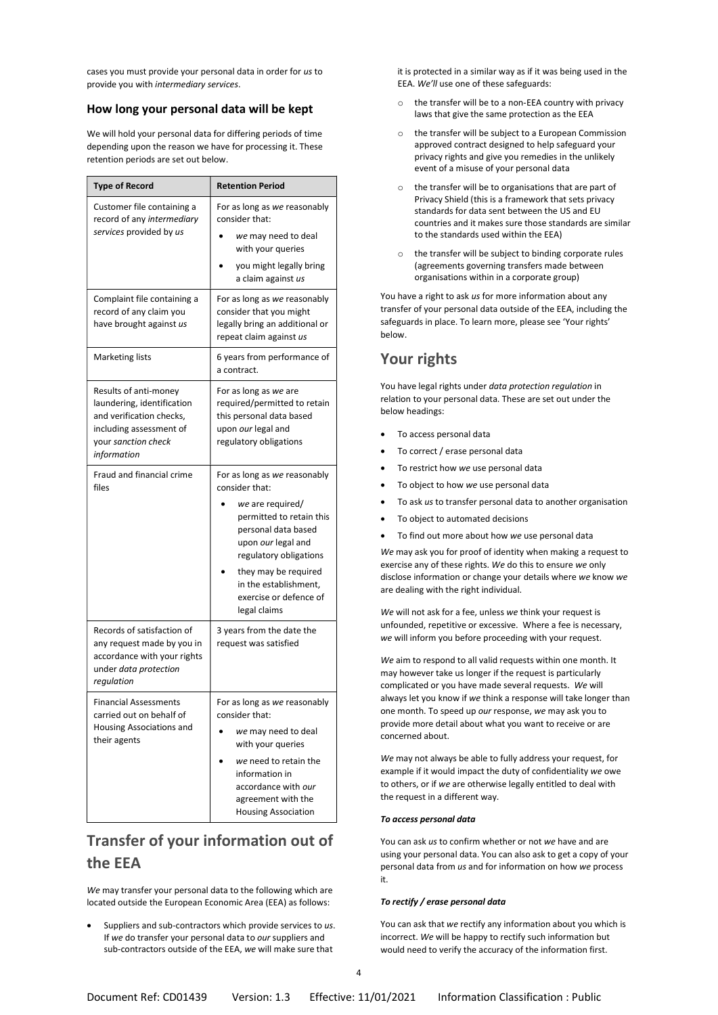cases you must provide your personal data in order for us to provide you with intermediary services.

### How long your personal data will be kept

We will hold your personal data for differing periods of time depending upon the reason we have for processing it. These retention periods are set out below.

| <b>Type of Record</b>                                                                                                                            | <b>Retention Period</b>                                                                                                                                                                                                                                          |  |  |
|--------------------------------------------------------------------------------------------------------------------------------------------------|------------------------------------------------------------------------------------------------------------------------------------------------------------------------------------------------------------------------------------------------------------------|--|--|
| Customer file containing a<br>record of any intermediary<br>services provided by us                                                              | For as long as we reasonably<br>consider that:<br>we may need to deal                                                                                                                                                                                            |  |  |
|                                                                                                                                                  | with your queries<br>you might legally bring<br>a claim against us                                                                                                                                                                                               |  |  |
| Complaint file containing a<br>record of any claim you<br>have brought against us                                                                | For as long as we reasonably<br>consider that you might<br>legally bring an additional or<br>repeat claim against us                                                                                                                                             |  |  |
| <b>Marketing lists</b>                                                                                                                           | 6 years from performance of<br>a contract.                                                                                                                                                                                                                       |  |  |
| Results of anti-money<br>laundering, identification<br>and verification checks,<br>including assessment of<br>your sanction check<br>information | For as long as we are<br>required/permitted to retain<br>this personal data based<br>upon our legal and<br>regulatory obligations                                                                                                                                |  |  |
| Fraud and financial crime<br>files                                                                                                               | For as long as we reasonably<br>consider that:<br>we are required/<br>permitted to retain this<br>personal data based<br>upon our legal and<br>regulatory obligations<br>they may be required<br>in the establishment,<br>exercise or defence of<br>legal claims |  |  |
| Records of satisfaction of<br>any request made by you in<br>accordance with your rights<br>under data protection<br>regulation                   | 3 years from the date the<br>request was satisfied                                                                                                                                                                                                               |  |  |
| <b>Financial Assessments</b><br>carried out on behalf of<br>Housing Associations and<br>their agents                                             | For as long as we reasonably<br>consider that:<br>we may need to deal<br>with your queries<br>we need to retain the<br>information in<br>accordance with our<br>agreement with the<br><b>Housing Association</b>                                                 |  |  |

## Transfer of your information out of the EEA

We may transfer your personal data to the following which are located outside the European Economic Area (EEA) as follows:

 Suppliers and sub-contractors which provide services to us. If we do transfer your personal data to our suppliers and sub-contractors outside of the EEA, we will make sure that

it is protected in a similar way as if it was being used in the EEA. We'll use one of these safeguards:

- o the transfer will be to a non-EEA country with privacy laws that give the same protection as the EEA
- o the transfer will be subject to a European Commission approved contract designed to help safeguard your privacy rights and give you remedies in the unlikely event of a misuse of your personal data
- o the transfer will be to organisations that are part of Privacy Shield (this is a framework that sets privacy standards for data sent between the US and EU countries and it makes sure those standards are similar to the standards used within the EEA)
- o the transfer will be subject to binding corporate rules (agreements governing transfers made between organisations within in a corporate group)

You have a right to ask us for more information about any transfer of your personal data outside of the EEA, including the safeguards in place. To learn more, please see 'Your rights' below.

## Your rights

You have legal rights under data protection regulation in relation to your personal data. These are set out under the below headings:

- To access personal data
- To correct / erase personal data
- To restrict how we use personal data
- To object to how we use personal data
- To ask us to transfer personal data to another organisation
- To object to automated decisions
- To find out more about how we use personal data

We may ask you for proof of identity when making a request to exercise any of these rights. We do this to ensure we only disclose information or change your details where we know we are dealing with the right individual.

We will not ask for a fee, unless we think your request is unfounded, repetitive or excessive. Where a fee is necessary, we will inform you before proceeding with your request.

We aim to respond to all valid requests within one month. It may however take us longer if the request is particularly complicated or you have made several requests. We will always let you know if we think a response will take longer than one month. To speed up our response, we may ask you to provide more detail about what you want to receive or are concerned about.

We may not always be able to fully address your request, for example if it would impact the duty of confidentiality we owe to others, or if we are otherwise legally entitled to deal with the request in a different way.

#### To access personal data

You can ask us to confirm whether or not we have and are using your personal data. You can also ask to get a copy of your personal data from us and for information on how we process it.

#### To rectify / erase personal data

You can ask that we rectify any information about you which is incorrect. We will be happy to rectify such information but would need to verify the accuracy of the information first.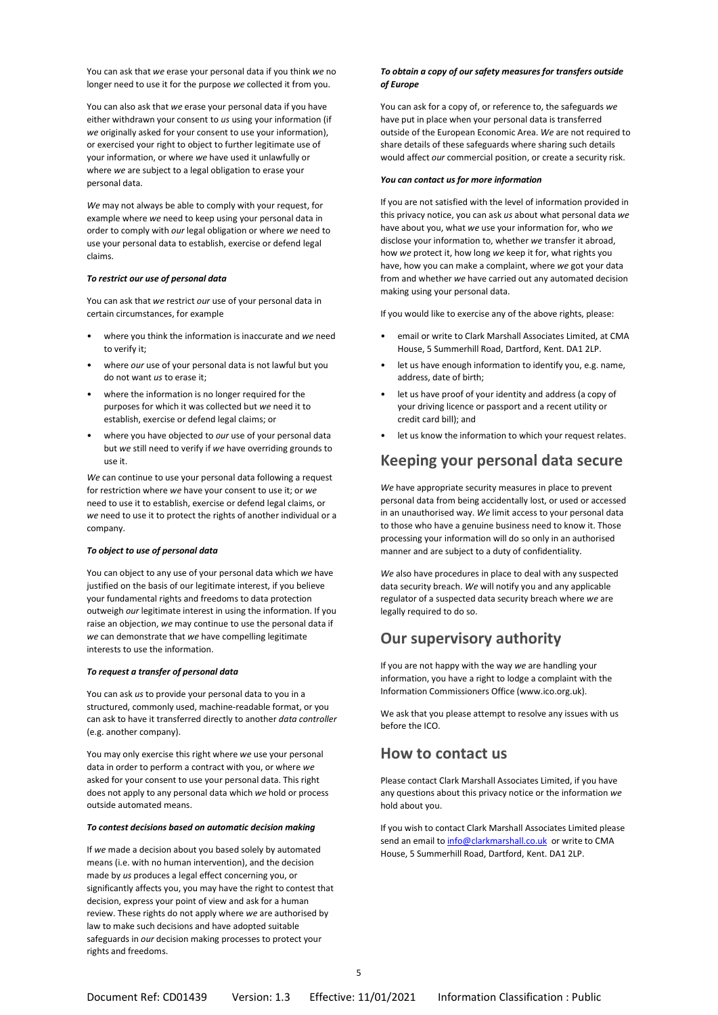You can ask that we erase your personal data if you think we no longer need to use it for the purpose we collected it from you.

You can also ask that we erase your personal data if you have either withdrawn your consent to us using your information (if we originally asked for your consent to use your information), or exercised your right to object to further legitimate use of your information, or where we have used it unlawfully or where we are subject to a legal obligation to erase your personal data.

We may not always be able to comply with your request, for example where we need to keep using your personal data in order to comply with our legal obligation or where we need to use your personal data to establish, exercise or defend legal claims.

#### To restrict our use of personal data

You can ask that we restrict our use of your personal data in certain circumstances, for example

- where you think the information is inaccurate and we need to verify it;
- where our use of your personal data is not lawful but you do not want us to erase it;
- where the information is no longer required for the purposes for which it was collected but we need it to establish, exercise or defend legal claims; or
- where you have objected to our use of your personal data but we still need to verify if we have overriding grounds to use it.

We can continue to use your personal data following a request for restriction where we have your consent to use it; or we need to use it to establish, exercise or defend legal claims, or we need to use it to protect the rights of another individual or a company.

#### To object to use of personal data

You can object to any use of your personal data which we have justified on the basis of our legitimate interest, if you believe your fundamental rights and freedoms to data protection outweigh our legitimate interest in using the information. If you raise an objection, we may continue to use the personal data if we can demonstrate that we have compelling legitimate interests to use the information.

#### To request a transfer of personal data

You can ask us to provide your personal data to you in a structured, commonly used, machine-readable format, or you can ask to have it transferred directly to another data controller (e.g. another company).

You may only exercise this right where we use your personal data in order to perform a contract with you, or where we asked for your consent to use your personal data. This right does not apply to any personal data which we hold or process outside automated means.

#### To contest decisions based on automatic decision making

If we made a decision about you based solely by automated means (i.e. with no human intervention), and the decision made by us produces a legal effect concerning you, or significantly affects you, you may have the right to contest that decision, express your point of view and ask for a human review. These rights do not apply where we are authorised by law to make such decisions and have adopted suitable safeguards in our decision making processes to protect your rights and freedoms.

#### To obtain a copy of our safety measures for transfers outside of Europe

You can ask for a copy of, or reference to, the safeguards we have put in place when your personal data is transferred outside of the European Economic Area. We are not required to share details of these safeguards where sharing such details would affect our commercial position, or create a security risk.

#### You can contact us for more information

If you are not satisfied with the level of information provided in this privacy notice, you can ask us about what personal data we have about you, what we use your information for, who we disclose your information to, whether we transfer it abroad, how we protect it, how long we keep it for, what rights you have, how you can make a complaint, where we got your data from and whether we have carried out any automated decision making using your personal data.

If you would like to exercise any of the above rights, please:

- email or write to Clark Marshall Associates Limited, at CMA House, 5 Summerhill Road, Dartford, Kent. DA1 2LP.
- let us have enough information to identify you, e.g. name, address, date of birth;
- let us have proof of your identity and address (a copy of your driving licence or passport and a recent utility or credit card bill); and
- let us know the information to which your request relates.

## Keeping your personal data secure

We have appropriate security measures in place to prevent personal data from being accidentally lost, or used or accessed in an unauthorised way. We limit access to your personal data to those who have a genuine business need to know it. Those processing your information will do so only in an authorised manner and are subject to a duty of confidentiality.

We also have procedures in place to deal with any suspected data security breach. We will notify you and any applicable regulator of a suspected data security breach where we are legally required to do so.

## Our supervisory authority

If you are not happy with the way we are handling your information, you have a right to lodge a complaint with the Information Commissioners Office (www.ico.org.uk).

We ask that you please attempt to resolve any issues with us before the ICO.

## How to contact us

Please contact Clark Marshall Associates Limited, if you have any questions about this privacy notice or the information we hold about you.

If you wish to contact Clark Marshall Associates Limited please send an email to info@clarkmarshall.co.uk or write to CMA House, 5 Summerhill Road, Dartford, Kent. DA1 2LP.